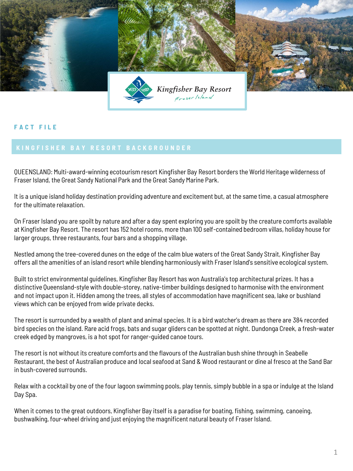

## **F A C T F I L E**

QUEENSLAND: Multi-award-winning ecotourism resort Kingfisher Bay Resort borders the World Heritage wilderness of Fraser Island, the Great Sandy National Park and the Great Sandy Marine Park.

It is a unique island holiday destination providing adventure and excitement but, at the same time, a casual atmosphere for the ultimate relaxation.

On Fraser Island you are spoilt by nature and after a day spent exploring you are spoilt by the creature comforts available at Kingfisher Bay Resort. The resort has 152 hotel rooms, more than 100 self-contained bedroom villas, holiday house for larger groups, three restaurants, four bars and a shopping village.

Nestled among the tree-covered dunes on the edge of the calm blue waters of the Great Sandy Strait, Kingfisher Bay offers all the amenities of an island resort while blending harmoniously with Fraser Island's sensitive ecological system.

Built to strict environmental guidelines, Kingfisher Bay Resort has won Australia's top architectural prizes. It has a distinctive Queensland-style with double-storey, native-timber buildings designed to harmonise with the environment and not impact upon it. Hidden among the trees, all styles of accommodation have magnificent sea, lake or bushland views which can be enjoyed from wide private decks.

The resort is surrounded by a wealth of plant and animal species. It is a bird watcher's dream as there are 384 recorded bird species on the island. Rare acid frogs, bats and sugar gliders can be spotted at night. Dundonga Creek, a fresh-water creek edged by mangroves, is a hot spot for ranger-guided canoe tours.

The resort is not without its creature comforts and the flavours of the Australian bush shine through in Seabelle Restaurant, the best of Australian produce and local seafood at Sand & Wood restaurant or dine al fresco at the Sand Bar in bush-covered surrounds.

Relax with a cocktail by one of the four lagoon swimming pools, play tennis, simply bubble in a spa or indulge at the Island Day Spa.

When it comes to the great outdoors, Kingfisher Bay itself is a paradise for boating, fishing, swimming, canoeing, bushwalking, four-wheel driving and just enjoying the magnificent natural beauty of Fraser Island.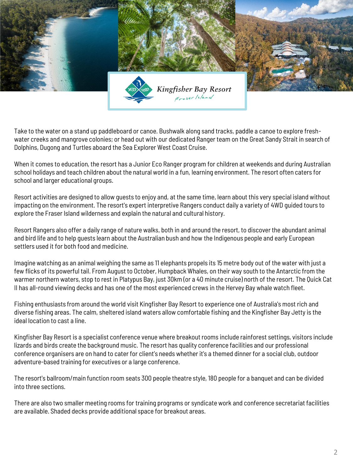

Take to the water on a stand up paddleboard or canoe. Bushwalk along sand tracks, paddle a canoe to explore freshwater creeks and mangrove colonies; or head out with our dedicated Ranger team on the Great Sandy Strait in search of Dolphins, Dugong and Turtles aboard the Sea Explorer West Coast Cruise.

When it comes to education, the resort has a Junior Eco Ranger program for children at weekends and during Australian school holidays and teach children about the natural world in a fun, learning environment. The resort often caters for school and larger educational groups.

Resort activities are designed to allow guests to enjoy and, at the same time, learn about this very special island without impacting on the environment. The resort's expert interpretive Rangers conduct daily a variety of 4WD guided tours to explore the Fraser Island wilderness and explain the natural and cultural history.

Resort Rangers also offer a daily range of nature walks, both in and around the resort, to discover the abundant animal and bird life and to help guests learn about the Australian bush and how the Indigenous people and early European settlers used it for both food and medicine.

Imagine watching as an animal weighing the same as 11 elephants propels its 15 metre body out of the water with just a few flicks of its powerful tail. From August to October, Humpback Whales, on their way south to the Antarctic from the warmer northern waters, stop to rest in Platypus Bay, just 30km (or a 40 minute cruise) north of the resort. The Quick Cat II has all-round viewing decks and has one of the most experienced crews in the Hervey Bay whale watch fleet.

Fishing enthusiasts from around the world visit Kingfisher Bay Resort to experience one of Australia's most rich and diverse fishing areas. The calm, sheltered island waters allow comfortable fishing and the Kingfisher Bay Jetty is the ideal location to cast a line.

Kingfisher Bay Resort is a specialist conference venue where breakout rooms include rainforest settings, visitors include lizards and birds create the background music. The resort has quality conference facilities and our professional conference organisers are on hand to cater for client's needs whether it's a themed dinner for a social club, outdoor adventure-based training for executives or a large conference.

The resort's ballroom/main function room seats 300 people theatre style, 180 people for a banquet and can be divided into three sections.

There are also two smaller meeting rooms for training programs or syndicate work and conference secretariat facilities are available. Shaded decks provide additional space for breakout areas.